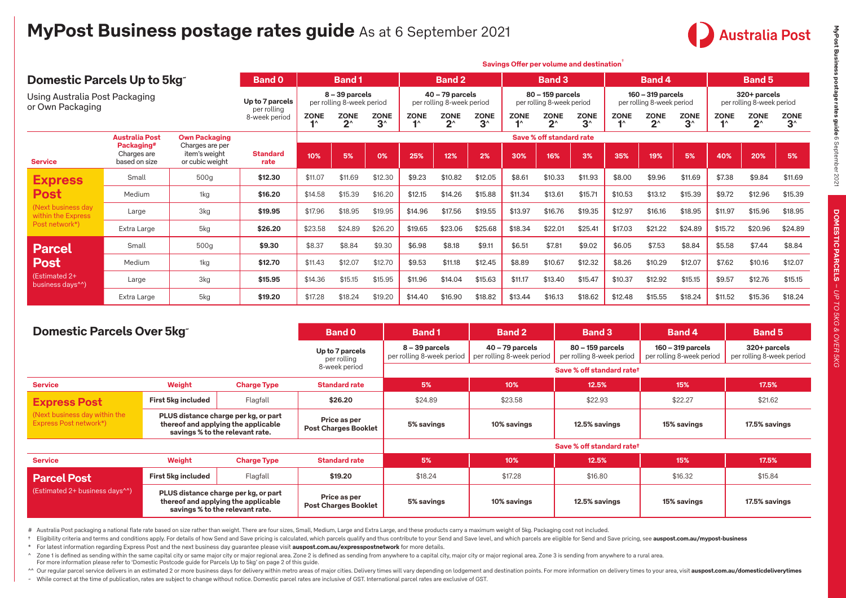

|                                                    |                                            |                                                     |                              | Savings Offer per volume and destination |                                             |                            |             |                                                |                                               |             |                                               |                   |             |                                                  |                             |             |                                               |                                               |
|----------------------------------------------------|--------------------------------------------|-----------------------------------------------------|------------------------------|------------------------------------------|---------------------------------------------|----------------------------|-------------|------------------------------------------------|-----------------------------------------------|-------------|-----------------------------------------------|-------------------|-------------|--------------------------------------------------|-----------------------------|-------------|-----------------------------------------------|-----------------------------------------------|
| Domestic Parcels Up to 5kg                         |                                            |                                                     | <b>Band 0</b>                |                                          | <b>Band1</b>                                |                            |             | <b>Band 2</b>                                  |                                               |             | <b>Band 3</b>                                 |                   |             | Band 4                                           |                             |             | <b>Band 5</b>                                 |                                               |
| Using Australia Post Packaging<br>or Own Packaging |                                            |                                                     | Up to 7 parcels              |                                          | 8 - 39 parcels<br>per rolling 8-week period |                            |             | $40 - 79$ parcels<br>per rolling 8-week period |                                               |             | 80 - 159 parcels<br>per rolling 8-week period |                   |             | $160 - 319$ parcels<br>per rolling 8-week period |                             |             | 320+ parcels<br>per rolling 8-week period     |                                               |
|                                                    |                                            |                                                     | per rolling<br>8-week period | <b>ZONE</b>                              | <b>ZONE</b><br>$2^{\wedge}$                 | <b>ZONE</b><br>$3^{\circ}$ | <b>ZONE</b> | <b>ZONE</b><br>$2^{\wedge}$                    | <b>ZONE</b><br>$3^{\scriptscriptstyle\wedge}$ | <b>ZONE</b> | <b>ZONE</b><br>$2^{\wedge}$                   | <b>ZONE</b><br>3^ | <b>ZONE</b> | <b>ZONE</b><br>$2^{\scriptscriptstyle\wedge}$    | <b>ZONE</b><br>$3^{\wedge}$ | <b>ZONE</b> | <b>ZONE</b><br>$2^{\scriptscriptstyle\wedge}$ | <b>ZONE</b><br>$3^{\scriptscriptstyle\wedge}$ |
|                                                    | <b>Australia Post</b>                      | <b>Own Packaging</b>                                |                              |                                          | Save % off standard rate                    |                            |             |                                                |                                               |             |                                               |                   |             |                                                  |                             |             |                                               |                                               |
| <b>Service</b>                                     | Packaging#<br>Charges are<br>based on size | Charges are per<br>item's weight<br>or cubic weight | <b>Standard</b><br>rate      | 10%                                      | 5%                                          | 0%                         | 25%         | 12%                                            | 2%                                            | 30%         | 16%                                           | 3%                | 35%         | 19%                                              | 5%                          | 40%         | 20%                                           | 5%                                            |
| <b>Express</b>                                     | Small                                      | 500 <sub>g</sub>                                    | \$12.30                      | \$11.07                                  | \$11.69                                     | \$12.30                    | \$9.23      | \$10.82                                        | \$12.05                                       | \$8.61      | \$10.33                                       | \$11.93           | \$8.00      | \$9.96                                           | \$11.69                     | \$7.38      | \$9.84                                        | \$11.69                                       |
| <b>Post</b>                                        | Medium                                     | 1kg                                                 | \$16.20                      | \$14.58                                  | \$15.39                                     | \$16.20                    | \$12.15     | \$14.26                                        | \$15.88                                       | \$11.34     | \$13.61                                       | \$15.71           | \$10.53     | \$13.12                                          | \$15.39                     | \$9.72      | \$12.96                                       | \$15.39                                       |
| (Next business day)<br>within the Express          | Large                                      | 3kg                                                 | \$19.95                      | \$17.96                                  | \$18.95                                     | \$19.95                    | \$14.96     | \$17.56                                        | \$19.55                                       | \$13.97     | \$16.76                                       | \$19.35           | \$12.97     | \$16.16                                          | \$18.95                     | \$11.97     | \$15.96                                       | \$18.95                                       |
| Post network*)                                     | Extra Large                                | 5kg                                                 | \$26.20                      | \$23.58                                  | \$24.89                                     | \$26.20                    | \$19.65     | \$23.06                                        | \$25.68                                       | \$18.34     | \$22.01                                       | \$25.41           | \$17.03     | \$21.22                                          | \$24.89                     | \$15.72     | \$20.96                                       | \$24.89                                       |
| <b>Parcel</b>                                      | Small                                      | 500g                                                | \$9.30                       | \$8.37                                   | \$8.84                                      | \$9.30                     | \$6.98      | \$8.18                                         | \$9.11                                        | \$6.51      | \$7.81                                        | \$9.02            | \$6.05      | \$7.53                                           | \$8.84                      | \$5.58      | \$7.44                                        | \$8.84                                        |
| Post                                               | Medium                                     | 1kg                                                 | \$12.70                      | \$11.43                                  | \$12.07                                     | \$12.70                    | \$9.53      | \$11.18                                        | \$12.45                                       | \$8.89      | \$10.67                                       | \$12.32           | \$8.26      | \$10.29                                          | \$12.07                     | \$7.62      | \$10.16                                       | \$12.07                                       |
| (Estimated 2+<br>business days <sup>^^</sup> )     | Large                                      | 3kg                                                 | \$15.95                      | \$14.36                                  | \$15.15                                     | \$15.95                    | \$11.96     | \$14.04                                        | \$15.63                                       | \$11.17     | \$13.40                                       | \$15.47           | \$10.37     | \$12.92                                          | \$15.15                     | \$9.57      | \$12.76                                       | \$15.15                                       |
|                                                    | Extra Large                                | 5kg                                                 | \$19.20                      | \$17.28                                  | \$18.24                                     | \$19.20                    | \$14.40     | \$16.90                                        | \$18.82                                       | \$13.44     | \$16.13                                       | \$18.62           | \$12.48     | \$15.55                                          | \$18.24                     | \$11.52     | \$15.36                                       | \$18.24                                       |

| Domestic Parcels Over 5kg                               |                                |                                                                                                                | <b>Band 0</b>                               | <b>Band1</b>                                  | <b>Band 2</b>                                  | <b>Band 3</b>                                 | <b>Band 4</b>                                    | <b>Band 5</b>                             |  |  |  |  |  |  |
|---------------------------------------------------------|--------------------------------|----------------------------------------------------------------------------------------------------------------|---------------------------------------------|-----------------------------------------------|------------------------------------------------|-----------------------------------------------|--------------------------------------------------|-------------------------------------------|--|--|--|--|--|--|
|                                                         |                                |                                                                                                                | Up to 7 parcels<br>per rolling              | $8 - 39$ parcels<br>per rolling 8-week period | $40 - 79$ parcels<br>per rolling 8-week period | 80 - 159 parcels<br>per rolling 8-week period | $160 - 319$ parcels<br>per rolling 8-week period | 320+ parcels<br>per rolling 8-week period |  |  |  |  |  |  |
|                                                         |                                |                                                                                                                | 8-week period                               | Save % off standard ratet                     |                                                |                                               |                                                  |                                           |  |  |  |  |  |  |
| <b>Service</b>                                          | Weight                         | <b>Charge Type</b>                                                                                             | <b>Standard rate</b>                        | 5%                                            | 10%                                            | 12.5%                                         | 15%                                              | 17.5%                                     |  |  |  |  |  |  |
| <b>Express Post</b>                                     | First 5kg included             | Flagfall                                                                                                       | \$26.20                                     | \$24.89                                       | \$23.58                                        | \$22.93                                       | \$22.27                                          | \$21.62                                   |  |  |  |  |  |  |
| (Next business day within the<br>Express Post network*) |                                | PLUS distance charge per kg, or part<br>thereof and applying the applicable<br>savings % to the relevant rate. | Price as per<br><b>Post Charges Booklet</b> | 5% savings                                    | 10% savings                                    | 12.5% savings                                 | 15% savings                                      | 17.5% savings                             |  |  |  |  |  |  |
|                                                         |                                |                                                                                                                |                                             |                                               |                                                | Save % off standard ratet                     |                                                  |                                           |  |  |  |  |  |  |
| <b>Service</b>                                          | Weight                         | <b>Charge Type</b>                                                                                             | <b>Standard rate</b>                        | 5%                                            | 10%                                            | 12.5%                                         | 15%                                              | 17.5%                                     |  |  |  |  |  |  |
| Parcel Post                                             | First 5kg included<br>Flagfall |                                                                                                                | \$19.20                                     | \$18.24                                       | \$17.28                                        | \$16.80                                       | \$16.32                                          | \$15.84                                   |  |  |  |  |  |  |
| (Estimated 2+ business days^^)                          |                                | PLUS distance charge per kg, or part<br>thereof and applying the applicable<br>savings % to the relevant rate. | Price as per<br><b>Post Charges Booklet</b> | 5% savings                                    | 10% savings                                    | 12.5% savings                                 | 15% savings                                      | 17.5% savings                             |  |  |  |  |  |  |

# Australia Post packaging a national flate rate based on size rather than weight. There are four sizes, Small, Medium, Large and Extra Large, and these products carry a maximum weight of 5kg. Packaging cost not included.

+ Eligibility criteria and terms and conditions apply. For details of how Send and Save pricing is calculated, which parcels qualify and thus contribute to your Send and Save level, and which parcels are eligible for Send

\* For latest information regarding Express Post and the next business day guarantee please visit **[auspost.com.au/expresspostnetwork](http://auspost.com.au/expresspostnetwork)** for more details.

^ Zone 1 is defined as sending within the same capital city or same major city or major regional area. Zone 2 is defined as sending from anywhere to a capital city, major city or major regional area. Zone 3 is sending from For more information please refer to 'Domestic Postcode guide for Parcels Up to 5kg' on page 2 of this guide.

^^ Our regular parcel service delivers in an estimated 2 or more business days for delivery within metro areas of major cities. Delivery willing metro areas of major cities. Delivery times will vary depending on lodgement ~ While correct at the time of publication, rates are subject to change without notice. Domestic parcel rates are inclusive of GST. International parcel rates are exclusive of GST.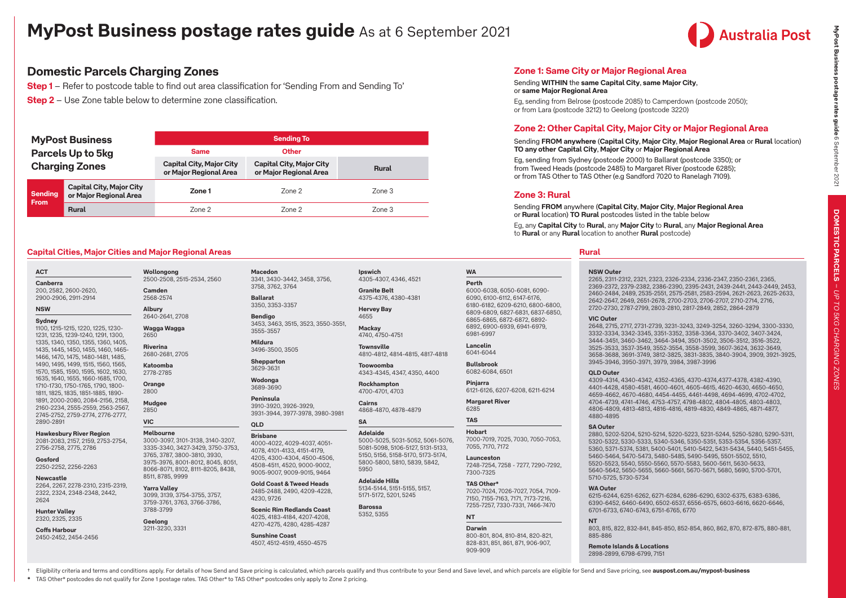

**DOMESTIC PARCELS**

DOMESTIC PARCELS - UP TO 5KG CHARGING ZONES

 **MyPost Business postage rates guide**  $6$  **September 2021 LP TO DMESTIC PARCELS – UP TO DMES** 

MyPost Business postage rates guide 6 September 2021

## **Domestic Parcels Charging Zones**

**Step 1** – Refer to postcode table to find out area classification for 'Sending From and Sending To' **Step 2** – Use Zone table below to determine zone classification.

|                | <b>MyPost Business</b>                                    | <b>Sending To</b>                                         |                                                           |              |  |  |  |  |  |  |  |  |  |
|----------------|-----------------------------------------------------------|-----------------------------------------------------------|-----------------------------------------------------------|--------------|--|--|--|--|--|--|--|--|--|
|                | Parcels Up to 5kg                                         | <b>Same</b>                                               | <b>Other</b>                                              |              |  |  |  |  |  |  |  |  |  |
|                | <b>Charging Zones</b>                                     | <b>Capital City, Major City</b><br>or Major Regional Area | <b>Capital City, Major City</b><br>or Major Regional Area | <b>Rural</b> |  |  |  |  |  |  |  |  |  |
| <b>Sending</b> | <b>Capital City, Major City</b><br>or Major Regional Area | Zone 1                                                    | Zone 2                                                    | Zone 3       |  |  |  |  |  |  |  |  |  |
| <b>From</b>    | <b>Rural</b>                                              | Zone 2                                                    | Zone 2                                                    | Zone 3       |  |  |  |  |  |  |  |  |  |

**Macedon**

3555-3557 **Mildura** 3496-3500, 3505 **Shepparton** 3629-3631 **Wodonga** 3689-3690 **Peninsula** 3910-3920, 3926-3929, 3931-3944, 3977-3978, 3980-3981

3758, 3762, 3764 **Ballarat** 3350, 3353-3357 **Bendigo**

### **Capital Cities, Major Cities and Major Regional Areas Rural**

### **ACT Canberra** 200, 2582, 2600-2620,

2900-2906, 2911-2914 **NSW**

**Sydney** 1100, 1215-1215, 1220, 1225, 1230- 1231, 1235, 1239-1240, 1291, 1300, 1335, 1340, 1350, 1355, 1360, 1405, 1435, 1445, 1450, 1455, 1460, 1465- 1466, 1470, 1475, 1480-1481, 1485, 1490, 1495, 1499, 1515, 1560, 1565, 1570, 1585, 1590, 1595, 1602, 1630, 1635, 1640, 1655, 1660-1685, 1700, 1710-1730, 1750-1765, 1790, 1800- 1811, 1825, 1835, 1851-1885, 1890- 1891, 2000-2080, 2084-2156, 2158, 2160-2234, 2555-2559, 2563-2567, 2745-2752, 2759-2774, 2776-2777, 2890-2891

### **Hawkesbury River Region**

2081-2083, 2157, 2159, 2753-2754, 2756-2758, 2775, 2786

### **Gosford** 2250-2252, 2256-2263

**Newcastle**

2264, 2267, 2278-2310, 2315-2319, 2322, 2324, 2348-2348, 2442, 2624

### **Hunter Valley** 2320, 2325, 2335

**Coffs Harbour** 2450-2452, 2454-2456 **Wollongong** 2500-2508, 2515-2534, 2560 **Camden**

2568-2574

2640-2641, 2708 **Wagga Wagga** 2650

**Riverina** 2680-2681, 2705 **Katoomba**

2778-2785 **Orange** 2800

**Mudgee** 2850

**Yarra Valley**

3788-3799 **Geelong** 3211-3230, 3331

**Albury**

### **VIC**

**Melbourne** 3000-3097, 3101-3138, 3140-3207, 3335-3340, 3427-3429, 3750-3753, 3765, 3787, 3800-3810, 3930, 3975-3976, 8001-8012, 8045, 8051, 8066-8071, 8102, 8111-8205, 8438, 8511, 8785, 9999

3099, 3139, 3754-3755, 3757, **Gold Coast & Tweed Heads** 2485-2488, 2490, 4209-4228, 4230, 9726

**QLD Brisbane**

3759-3761, 3763, 3766-3786, **Scenic Rim Redlands Coast** 4025, 4183-4184, 4207-4208, 4270-4275, 4280, 4285-4287

# **Sunshine Coast**

3341, 3430-3442, 3458, 3756, **Ipswich** 4305-4307, 4346, 4521 **Granite Belt**

4375-4376, 4380-4381 **Hervey Bay**

3453, 3463, 3515, 3523, 3550-3551, 4655 **Mackay** 4740, 4750-4751

> **Townsville** 4810-4812, 4814-4815, 4817-4818

**Toowoomba** 4343-4345, 4347, 4350, 4400

**Rockhampton** 4700-4701, 4703

> **Cairns** 4868-4870, 4878-4879

**Adelaide**

**Adelaide Hills** 5171-5172, 5201, 5245

**Barossa**

# 4507, 4512-4519, 4550-4575

4000-4022, 4029-4037, 4051- 4078, 4101-4133, 4151-4179, 4205, 4300-4304, 4500-4506, 4508-4511, 4520, 9000-9002, 9005-9007, 9009-9015, 9464

5000-5025, 5031-5052, 5061-5076, 5081-5098, 5106-5127, 5131-5133, 5150, 5156, 5158-5170, 5173-5174, 5800-5800, 5810, 5839, 5842, 5950

5134-5144, 5151-5155, 5157,

## 5352, 5355

**SA**

**Zone 1: Same City or Major Regional Area**

### Sending **WITHIN** the **same Capital City**, **same Major City**, or **same Major Regional Area**

Eg, sending from Belrose (postcode 2085) to Camperdown (postcode 2050); or from Lara (postcode 3212) to Geelong (postcode 3220)

### **Zone 2: Other Capital City, Major City or Major Regional Area**

### Sending **FROM anywhere** (**Capital City**, **Major City**, **Major Regional Area** or **Rural** location) **TO any other Capital City**, **Major City** or **Major Regional Area**

Eg, sending from Sydney (postcode 2000) to Ballarat (postcode 3350); or from Tweed Heads (postcode 2485) to Margaret River (postcode 6285); or from TAS Other to TAS Other (e.g Sandford 7020 to Ranelagh 7109).

### **Zone 3: Rural**

Sending **FROM** anywhere (**Capital City**, **Major City**, **Major Regional Area** or **Rural** location) **TO Rural** postcodes listed in the table below

Eg, any **Capital City** to **Rural**, any **Major City** to **Rural**, any **Major Regional Area** to **Rural** or any **Rural** location to another **Rural** postcode)

### **NSW Outer**

2265, 2311-2312, 2321, 2323, 2326-2334, 2336-2347, 2350-2361, 2365, 2369-2372, 2379-2382, 2386-2390, 2395-2431, 2439-2441, 2443-2449, 2453, 2460-2484, 2489, 2535-2551, 2575-2581, 2583-2594, 2621-2623, 2625-2633, 2642-2647, 2649, 2651-2678, 2700-2703, 2706-2707, 2710-2714, 2716, 2720-2730, 2787-2799, 2803-2810, 2817-2849, 2852, 2864-2879

### **VIC Outer**

2648, 2715, 2717, 2731-2739, 3231-3243, 3249-3254, 3260-3294, 3300-3330, 3332-3334, 3342-3345, 3351-3352, 3358-3364, 3370-3402, 3407-3424, 3444-3451, 3460-3462, 3464-3494, 3501-3502, 3506-3512, 3516-3522, 3525-3533, 3537-3549, 3552-3554, 3558-3599, 3607-3624, 3632-3649, 3658-3688, 3691-3749, 3812-3825, 3831-3835, 3840-3904, 3909, 3921-3925, 3945-3946, 3950-3971, 3979, 3984, 3987-3996

### **QLD Outer**

4309-4314, 4340-4342, 4352-4365, 4370-4374,4377-4378, 4382-4390, 4401-4428, 4580-4581, 4600-4601, 4605-4615, 4620-4630, 4650-4650, 4659-4662, 4670-4680, 4454-4455, 4461-4498, 4694-4699, 4702-4702, 4704-4739, 4741-4746, 4753-4757, 4798-4802, 4804-4805, 4803-4803, 4806-4809, 4813-4813, 4816-4816, 4819-4830, 4849-4865, 4871-4877, 4880-4895

### **SA Outer**

2880, 5202-5204, 5210-5214, 5220-5223, 5231-5244, 5250-5280, 5290-5311, 5320-5322, 5330-5333, 5340-5346, 5350-5351, 5353-5354, 5356-5357, 5360, 5371-5374, 5381, 5400-5401, 5410-5422, 5431-5434, 5440, 5451-5455, 5460-5464, 5470-5473, 5480-5485, 5490-5495, 5501-5502, 5510, 5520-5523, 5540, 5550-5560, 5570-5583, 5600-5611, 5630-5633, 5640-5642, 5650-5655, 5660-5661, 5670-5671, 5680, 5690, 5700-5701, 5710-5725, 5730-5734

### **WA Outer**

6215-6244, 6251-6262, 6271-6284, 6286-6290, 6302-6375, 6383-6386, 6390-6452, 6460-6490, 6502-6537, 6556-6575, 6603-6616, 6620-6646, 6701-6733, 6740-6743, 6751-6765, 6770

### **NT**

803, 815, 822, 832-841, 845-850, 852-854, 860, 862, 870, 872-875, 880-881, 885-886

**Remote Islands & Locations** 2898-2899, 6798-6799, 7151

+ Eligibility criteria and terms and conditions apply. For details of how Send and Save pricing is calculated, which parcels qualify and thus contribute to your Send and Save level, and which parcels are eligible for Send

**\*** TAS Other\* postcodes do not qualify for Zone 1 postage rates. TAS Other\* to TAS Other\* postcodes only apply to Zone 2 pricing.

6000-6038, 6050-6081, 6090- 6090, 6100-6112, 6147-6176, 6180-6182, 6209-6210, 6800-6800, 6809-6809, 6827-6831, 6837-6850, 6865-6865, 6872-6872, 6892- 6892, 6900-6939, 6941-6979, 6981-6997

**Lancelin**  6041-6044

**WA Perth** 

**Bullsbrook** 6082-6084, 6501

**Pinjarra**  6121-6126, 6207-6208, 6211-6214

### **Margaret River** 6285

**TAS Hobart**

### 7000-7019, 7025, 7030, 7050-7053, 7055, 7170, 7172

**Launceston** 7248-7254, 7258 - 7277, 7290-7292, 7300-7325

### **TAS Other\*** 7020-7024, 7026-7027, 7054, 7109- 7150, 7155-7163, 7171, 7173-7216, 7255-7257, 7330-7331, 7466-7470

800-801, 804, 810-814, 820-821, 828-831, 851, 861, 871, 906-907,

**NT Darwin** 

909-909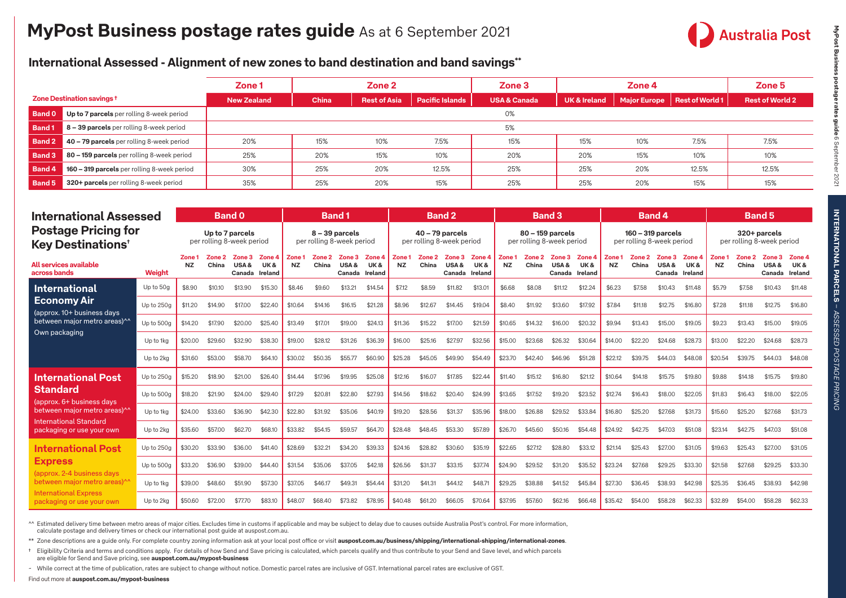

## **International Assessed - Alignment of new zones to band destination and band savings\*\***

|               |                                             | Zone <sub>1</sub>  | Zone 2 |                     |                        | Zone 3                  |                         | Zone 4 |                                | Zone 5                 |  |  |
|---------------|---------------------------------------------|--------------------|--------|---------------------|------------------------|-------------------------|-------------------------|--------|--------------------------------|------------------------|--|--|
|               | Zone Destination savings +                  | <b>New Zealand</b> | China  | <b>Rest of Asia</b> | <b>Pacific Islands</b> | <b>USA &amp; Canada</b> | <b>UK &amp; Ireland</b> |        | Major Europe   Rest of World 1 | <b>Rest of World 2</b> |  |  |
| <b>Band 0</b> | Up to 7 parcels per rolling 8-week period   |                    |        |                     |                        | 0%                      |                         |        |                                |                        |  |  |
| <b>Band1</b>  | 8 - 39 parcels per rolling 8-week period    |                    |        |                     |                        | 5%                      |                         |        |                                |                        |  |  |
| Band 2        | 40 – 79 parcels per rolling 8-week period   | 20%                | 15%    | 10%                 | 7.5%                   | 15%                     | 15%                     | 10%    | 7.5%                           | 7.5%                   |  |  |
| Band 3        | 80 – 159 parcels per rolling 8-week period  | 25%                | 20%    | 15%                 | 10%                    | 20%                     | 20%                     | 15%    | 10%                            | 10%                    |  |  |
| Band 4        | 160 - 319 parcels per rolling 8-week period | 30%                | 25%    | 20%                 | 12.5%                  | 25%                     | 25%                     | 20%    | 12.5%                          | 12.5%                  |  |  |
| Band 5        | 320+ parcels per rolling 8-week period      | 35%                | 25%    | 20%                 | 15%                    | 25%                     | 25%                     | 20%    | 15%                            | 15%                    |  |  |

| <b>International Assessed</b><br><b>Postage Pricing for</b><br><b>Key Destinations</b> <sup>+</sup>                                                   |            | <b>Band 0</b>                                |         |                                  |               | <b>Band1</b>                                  |                                        |                                              |               | <b>Band 2</b>                                  |                             |                                  |                                               | <b>Band 3</b>                  |                                        |                                         |                                                |                     |                      | <b>Band 4</b>                           |                                           | <b>Band 5</b>      |                      |                                        |               |  |
|-------------------------------------------------------------------------------------------------------------------------------------------------------|------------|----------------------------------------------|---------|----------------------------------|---------------|-----------------------------------------------|----------------------------------------|----------------------------------------------|---------------|------------------------------------------------|-----------------------------|----------------------------------|-----------------------------------------------|--------------------------------|----------------------------------------|-----------------------------------------|------------------------------------------------|---------------------|----------------------|-----------------------------------------|-------------------------------------------|--------------------|----------------------|----------------------------------------|---------------|--|
|                                                                                                                                                       |            | Up to 7 parcels<br>per rolling 8-week period |         |                                  |               | $8 - 39$ parcels<br>per rolling 8-week period |                                        |                                              |               | $40 - 79$ parcels<br>per rolling 8-week period |                             |                                  | 80 - 159 parcels<br>per rolling 8-week period |                                |                                        |                                         | 160 - 319 parcels<br>per rolling 8-week period |                     |                      |                                         | 320+ parcels<br>per rolling 8-week period |                    |                      |                                        |               |  |
| All services available<br>across bands                                                                                                                | Weight     | <b>NZ</b>                                    | China   | Zone 3<br>USA&<br>Canada Ireland | Zone 4<br>UK& | Zone <sub>1</sub><br><b>NZ</b>                | $\mathbf{Z}$ one $\mathbf{Z}$<br>China | $\mathsf{Zone}\,3$<br>USA&<br>Canada Ireland | Zone 4<br>UK& | Zone <sub>1</sub><br><b>NZ</b>                 | $\mathsf{Zone}\,2$<br>China | Zone 3<br>USA&<br>Canada Ireland | Zone 4<br>UK&                                 | Zone <sub>1</sub><br><b>NZ</b> | $\mathbf{Z}$ one $\mathbf{Z}$<br>China | Zone 3 Zone 4<br>USA&<br>Canada Ireland | UK&                                            | Zone 1<br><b>NZ</b> | $Z$ one $2$<br>China | Zone 3 Zone 4<br>USA&<br>Canada Ireland | UK&                                       | Zone:<br><b>NZ</b> | $Z$ one $2$<br>China | $Z$ one $31$<br>USA&<br>Canada Ireland | Zone 4<br>UK& |  |
| <b>International</b>                                                                                                                                  | Up to 50g  | \$8.90                                       | \$10.10 | \$13.90                          | \$15.30       | \$8.46                                        | \$9.60                                 | \$13.21                                      | \$14.54       | \$7.12                                         | \$8.59                      | \$11.82                          | \$13.01                                       | \$6.68                         | \$8.08                                 | \$11.12                                 | \$12.24                                        | \$6.23              | \$7.58               | \$10.43                                 | \$11.48                                   | \$5.79             | \$7.58               | \$10.43                                | \$11.48       |  |
| <b>Economy Air</b><br>(approx. 10+ business days                                                                                                      | Up to 250g | \$11.20                                      | \$14.90 | \$17.00                          | \$22.40       | \$10.64                                       | \$14.16                                | \$16.15                                      | \$21.28       | \$8.96                                         | \$12.67                     | \$14.45                          | \$19.04                                       | \$8.40                         | \$11.92                                | \$13.60                                 | \$17.92                                        | \$7.84              | \$11.18              | \$12.75                                 | \$16,80                                   | \$7.28             | \$11.18              | \$12.75                                | \$16.80       |  |
| between major metro areas)^^                                                                                                                          | Up to 500g | \$14.20                                      | \$17.90 | \$20.00                          | \$25.40       | \$13.49                                       | \$17.01                                | \$19.00                                      | \$24.13       | \$11.36                                        | \$15.22                     | \$17.00                          | \$21.59                                       | \$10.65                        | \$14.32                                | \$16,00                                 | \$20.32                                        | \$9.94              | \$13.43              | \$15,00                                 | \$19.05                                   | \$9.23             | \$13.43              | \$15,00                                | \$19.05       |  |
| Own packaging                                                                                                                                         | Up to 1kg  | \$20.00                                      | \$29.60 | \$32.90                          | \$38.30       | \$19,00                                       | \$28.12                                | \$31.26                                      | \$36.39       | \$16.00                                        | \$25.16                     | \$27.97                          | \$32.56                                       | \$15.00                        | \$23.68                                | \$26.32                                 | \$30.64                                        | \$14.00             | \$22.20              | \$24.68                                 | \$28.73                                   | \$13.00            | \$22.20              | \$24.68                                | \$28.73       |  |
|                                                                                                                                                       | Up to 2kg  | \$31.60                                      | \$53,00 | \$58.70                          | \$64.10       | \$30.02                                       | \$50.35                                | \$55.77                                      | \$60.90       | \$25.28                                        | \$45.05                     | \$49.90                          | \$54.49                                       | \$23.70                        | \$42.40                                | \$46.96                                 | \$51.28                                        | \$22.12             | \$39.75              | \$44.03                                 | \$48.08                                   | \$20.54            | \$39.75              | \$44.03                                | \$48.08       |  |
| <b>International Post</b>                                                                                                                             | Up to 250g | \$15.20                                      | \$18.90 | \$21.00                          | \$26.40       | \$14,44                                       | \$17.96                                | \$19.95                                      | \$25.08       | \$12.16                                        | \$16.07                     | \$17.85                          | \$22.44                                       | \$11.40                        | \$15.12                                | \$16.80                                 | \$21.12                                        | \$10.64             | \$14.18              | \$15.75                                 | \$19.80                                   | \$9.88             | \$14.18              | \$15.75                                | \$19,80       |  |
| <b>Standard</b><br>(approx. 6+ business days                                                                                                          | Up to 500g | \$18.20                                      | \$21.90 | \$24.00                          | \$29.40       | \$17.29                                       | \$20.81                                | \$22,80                                      | \$27.93       | \$14.56                                        | \$18,62                     | \$20.40                          | \$24.99                                       | \$13.65                        | \$17.52                                | \$19.20                                 | \$23.52                                        | \$12.74             | \$16.43              | \$18,00                                 | \$22.05                                   | \$11.83            | \$16.43              | \$18,00                                | \$22.05       |  |
| between major metro areas)^^                                                                                                                          | Up to 1ka  | \$24.00                                      | \$33.60 | \$36.90                          | \$42.30       | \$22.80                                       | \$31.92                                | \$35.06                                      | \$40.19       | \$19.20                                        | \$28.56                     | \$31.37                          | \$35.96                                       | \$18.00                        | \$26.88                                | \$29.52                                 | \$33.84                                        | \$16,80             | \$25.20              | \$27,68                                 | \$31.73                                   | \$15,60            | \$25.20              | \$27,68                                | \$31.73       |  |
| <b>International Standard</b><br>packaging or use your own                                                                                            | Up to 2kg  | \$35,60                                      | \$57.00 | \$62.70                          | \$68.10       | \$33.82                                       | \$54.15                                | \$59.57                                      | \$64.70       | \$28.48                                        | \$48.45                     | \$53.30                          | \$57.89                                       | \$26.70                        | \$45.60                                | \$50.16                                 | \$54.48                                        | \$24.92             | \$42.75              | \$47.03                                 | \$51.08                                   | \$23.14            | \$42.75              | \$47.03                                | \$51,08       |  |
| <b>International Post</b>                                                                                                                             | Up to 250g | \$30.20                                      | \$33.90 | \$36,00                          | \$41.40       | \$28.69                                       | \$32.21                                | \$34.20                                      | \$39.33       | \$24.16                                        | \$28.82                     | \$30.60                          | \$35.19                                       | \$22.65                        | \$27.12                                | \$28.80                                 | \$33.12                                        | \$21.14             | \$25.43              | \$27.00                                 | \$31.05                                   | \$19.63            | \$25.43              | \$27.00                                | \$31.05       |  |
| <b>Express</b><br>(approx. 2-4 business days)<br>between major metro areas) <sup>^</sup><br><b>International Express</b><br>packaging or use your own | Up to 500g | \$33.20                                      | \$36.90 | \$39.00                          | \$44.40       | \$31.54                                       | \$35.06                                | \$37.05                                      | \$42.18       | \$26.56                                        | \$31.37                     | \$33.15                          | \$37.74                                       | \$24.90                        | \$29.52                                | \$31.20                                 | \$35.52                                        | \$23.24             | \$27.68              | \$29.25                                 | \$33.30                                   | \$21.58            | \$27.68              | \$29.25                                | \$33.30       |  |
|                                                                                                                                                       | Up to 1ka  | \$39.00                                      | \$48.60 | \$51.90                          | \$57.30       | \$37.05                                       | \$46.17                                | \$49.31                                      | \$54.44       | \$31.20                                        | \$41.31                     | \$44.12                          | \$48.71                                       | \$29.25                        | \$38,88                                | \$41.52                                 | \$45.84                                        | \$27.30             | \$36.45              | \$38.93                                 | \$42.98                                   | \$25.35            | \$36.45              | \$38.93                                | \$42.98       |  |
|                                                                                                                                                       | Up to 2kg  | \$50.60                                      | \$72.00 | \$77.70                          | \$83.10       | \$48.07                                       | \$68,40                                | \$73.82                                      | \$78.95       | \$40.48                                        | \$61.20                     | \$66.05                          | \$70.64                                       | \$37.95                        | \$57,60                                | \$62.16                                 | \$66,48                                        | \$35.42             | \$54.00              | \$58.28                                 | \$62.33                                   | \$32.89            | \$54.00              | \$58.28                                | \$62.33       |  |

^^ Estimated delivery time between metro areas of major cities. Excludes time in customs if applicable and may be subject to delay due to causes outside Australia Post's control. For more information, calculate postage and delivery times or check our international post guide at auspost.com.au.

\*\* Zone descriptions are a guide only. For complete country zoning information ask at your local post office or visit **[auspost.com.au/business/shipping/international-shipping/international-zones](https://auspost.com.au/business/shipping/international-shipping/international-zones)**.

† Eligibility Criteria and terms and conditions apply. For details of how Send and Save pricing is calculated, which parcels qualify and thus contribute to your Send and Save level, and which parcels are eligible for Send and Save pricing, see **[auspost.com.au/mypost-business](http://auspost.com.au/mypost-business)**

~ While correct at the time of publication, rates are subject to change without notice. Domestic parcel rates are inclusive of GST. International parcel rates are exclusive of GST.

**MyPost Business postage rates guide** 

MyPost Business postage rates guide 6 September 2021

6 September 2021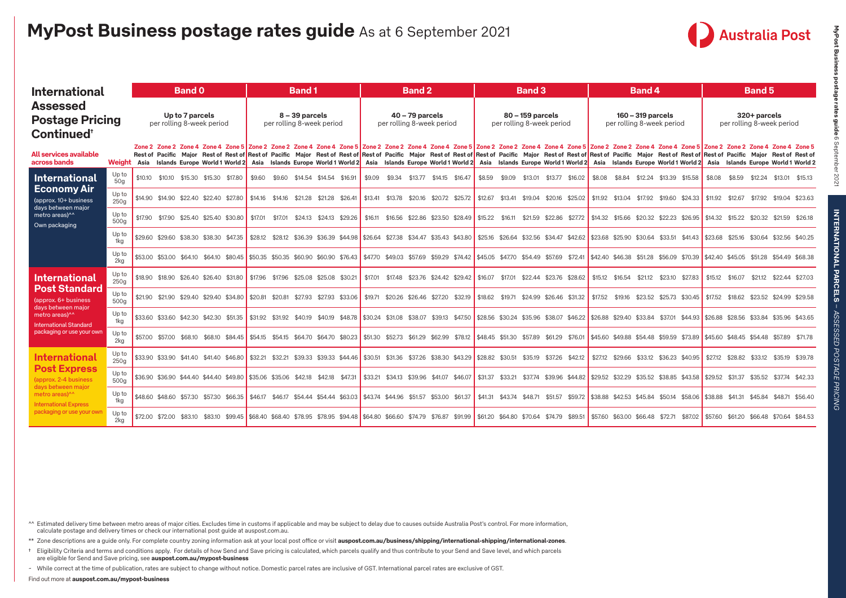

| <b>International</b>                                                              |                           |                                                                                                                                                                                                                                                                                                                                                                                                                                                                                                                                                                                                                                                                                                   |  | <b>Band 0</b> |                                               |  |  | Band 1                                         |                                       |  |  |                                               | <b>Band 2</b> |  |                                                  | <b>Band 3</b>                                                                                                           |  |                                           | <b>Band 4</b> |  |  | <b>Band 5</b>                                                                                                                                                            |  |
|-----------------------------------------------------------------------------------|---------------------------|---------------------------------------------------------------------------------------------------------------------------------------------------------------------------------------------------------------------------------------------------------------------------------------------------------------------------------------------------------------------------------------------------------------------------------------------------------------------------------------------------------------------------------------------------------------------------------------------------------------------------------------------------------------------------------------------------|--|---------------|-----------------------------------------------|--|--|------------------------------------------------|---------------------------------------|--|--|-----------------------------------------------|---------------|--|--------------------------------------------------|-------------------------------------------------------------------------------------------------------------------------|--|-------------------------------------------|---------------|--|--|--------------------------------------------------------------------------------------------------------------------------------------------------------------------------|--|
| <b>Assessed</b><br><b>Postage Pricing</b><br>Continued <sup>®</sup>               |                           | Up to 7 parcels<br>per rolling 8-week period                                                                                                                                                                                                                                                                                                                                                                                                                                                                                                                                                                                                                                                      |  |               | $8 - 39$ parcels<br>per rolling 8-week period |  |  | $40 - 79$ parcels<br>per rolling 8-week period |                                       |  |  | 80 - 159 parcels<br>per rolling 8-week period |               |  | $160 - 319$ parcels<br>per rolling 8-week period |                                                                                                                         |  | 320+ parcels<br>per rolling 8-week period |               |  |  |                                                                                                                                                                          |  |
| All services available<br>across bands                                            |                           | Zone 2 Zone 4 Zone 4 Zone 4 Zone 5 Zone 2 Zone 4 Zone 4 Zone 4 Zone 5 Zone 2 Zone 4 Zone 4 Zone 2 Zone 2 Zone 4 Zone 4 Zone 4 Zone 2 Zone 4 Zone 4 Zone 4 Zone 2 Zone 2 Zone 4 Zone 4 Zone 4 Zone 4 Zone 4 Zone 4 Zone 4 Zone<br>Rest of Pacific Major Rest of Rest of Pacific Major Rest of Rest of Pacific Major Rest of Rest of Rest of Rest of Rest of Rest of Rest of Rest of Rest of Rest of Rest of Rest of Rest of Rest of Rest of Rest of Rest of Rest<br>Weight Asia Islands Europe World 1 World 2 Asia Islands Europe World 1 World 2 Asia Islands Europe World 1 World 2 Asia Islands Europe World 1 World 2 Asia Islands Europe World 1 World 2 Asia Islands Europe World 1 World 2 |  |               |                                               |  |  |                                                |                                       |  |  |                                               |               |  |                                                  |                                                                                                                         |  |                                           |               |  |  |                                                                                                                                                                          |  |
| <b>International</b>                                                              | Up to<br>50 <sub>g</sub>  | \$10.10 \$10.10 \$15.30 \$15.30 \$17.80                                                                                                                                                                                                                                                                                                                                                                                                                                                                                                                                                                                                                                                           |  |               |                                               |  |  |                                                | \$9.60 \$9.60 \$14.54 \$14.54 \$16.91 |  |  | \$9.09 \$9.34 \$13.77 \$14.15 \$16.47         |               |  |                                                  | \$8.59 \$9.09 \$13.01 \$13.77 \$16.02 \$8.08 \$8.84 \$12.24 \$13.39 \$15.58                                             |  |                                           |               |  |  | \$8.08 \$8.59 \$12.24 \$13.01 \$15.13                                                                                                                                    |  |
| <b>Economy Air</b><br>(approx. 10+ business                                       | Up to<br>250 <sub>g</sub> | $$14.90$ \$14.90 \$22.40 \$22.40 \$27.80 \$14.16 \$14.16 \$21.28 \$21.28 \$26.41                                                                                                                                                                                                                                                                                                                                                                                                                                                                                                                                                                                                                  |  |               |                                               |  |  |                                                |                                       |  |  |                                               |               |  |                                                  | \$13.41 \$13.78 \$20.16 \$20.72 \$25.72 \$12.67 \$13.41 \$19.04 \$20.16 \$25.02 \$11.92 \$13.04 \$17.92 \$19.60 \$24.33 |  |                                           |               |  |  | \$11.92 \$12.67 \$17.92 \$19.04 \$23.63                                                                                                                                  |  |
| days between major<br>metro areas)^^<br>Own packaging                             | Up to<br>500 <sub>a</sub> | \$17.90 \$17.90 \$25.40 \$25.40 \$30.80 \$17.01 \$17.01 \$24.13 \$24.13 \$29.26                                                                                                                                                                                                                                                                                                                                                                                                                                                                                                                                                                                                                   |  |               |                                               |  |  |                                                |                                       |  |  |                                               |               |  |                                                  |                                                                                                                         |  |                                           |               |  |  | \$16.11 \$16.56 \$22.86 \$23.50 \$28.49 \$15.22 \$16.11 \$21.59 \$22.86 \$27.72 \$14.32 \$15.66 \$20.32 \$20.32 \$26.95 \$14.32 \$14.32 \$20.32 \$21.59 \$26.18          |  |
|                                                                                   | Upto<br>1kg               | \$29.60 \$29.60 \$38.30 \$38.30 \$47.35 \$28.12 \$28.12 \$36.39 \$44.98 \$24.47 \$27.38 \$34.47 \$35.43 \$43.80 \$25.16 \$26.64 \$32.56 \$34.47 \$42.62 \$32.56 \$25.90 \$30.64 \$32.51 \$41.43 \$23.68 \$25.16 \$30.64 \$32.56 \$30.64 \$32.56 \$40.25                                                                                                                                                                                                                                                                                                                                                                                                                                           |  |               |                                               |  |  |                                                |                                       |  |  |                                               |               |  |                                                  |                                                                                                                         |  |                                           |               |  |  |                                                                                                                                                                          |  |
|                                                                                   | Up to<br>2kg              | $$53.00$ $$53.00$ $$64.10$ $$64.10$ $$80.45$ $$50.35$ $$50.35$ $$60.90$ $$60.90$ $$76.43$                                                                                                                                                                                                                                                                                                                                                                                                                                                                                                                                                                                                         |  |               |                                               |  |  |                                                |                                       |  |  |                                               |               |  |                                                  |                                                                                                                         |  |                                           |               |  |  | \$47.70 \$49.03 \$57.69 \$59.29 \$74.42 \$45.05 \$47.70 \$54.49 \$57.69 \$72.41 \$42.40 \$46.38 \$51.28 \$56.09 \$70.39 \$42.40 \$45.05 \$51.28 \$54.49 \$68.38          |  |
| <b>International</b>                                                              | Up to<br>250a             | \$18.90 \$18.90 \$26.40 \$26.40 \$31.80 \$17.96 \$17.96 \$25.08 \$25.08 \$30.21                                                                                                                                                                                                                                                                                                                                                                                                                                                                                                                                                                                                                   |  |               |                                               |  |  |                                                |                                       |  |  |                                               |               |  |                                                  | \$17.01 \$17.48 \$23.76 \$24.42 \$29.42 \$16.07 \$17.01 \$22.44 \$23.76 \$28.62 \$15.12 \$16.54 \$21.12 \$23.10 \$27.83 |  |                                           |               |  |  | \$15.12 \$16.07 \$21.12 \$22.44 \$27.03                                                                                                                                  |  |
| <b>Post Standard</b><br>(approx. 6+ business                                      | Up to<br>500 <sub>a</sub> | \$21.90 \$21.90 \$29.40 \$29.40 \$34.80 \$20.81 \$20.81 \$27.93 \$27.93 \$33.06                                                                                                                                                                                                                                                                                                                                                                                                                                                                                                                                                                                                                   |  |               |                                               |  |  |                                                |                                       |  |  | \$19.71 \$20.26 \$26.46 \$27.20 \$32.19       |               |  |                                                  |                                                                                                                         |  |                                           |               |  |  | \$18.62 \$19.71 \$24.99 \$26.46 \$31.32   \$17.52 \$19.16 \$23.52 \$25.73 \$30.45   \$17.52 \$18.62 \$23.52 \$24.99 \$29.58                                              |  |
| days between major<br>metro areas) <sup>^^</sup><br><b>International Standard</b> | Upto<br>1kg               | \$33.60 \$33.60 \$42.30 \$42.30 \$51.35 \$31.92 \$31.92 \$40.19 \$40.19 \$40.78 \$38.07 \$31.08 \$38.07 \$39.13 \$47.50 \$28.56 \$30.24 \$35.96 \$30.24 \$35.96 \$30.7 \$46.22 \$26.88 \$29.40 \$33.84 \$37.01 \$44.93 \$26.88 \$28.56 \$33.84 \$35.96 \$43.65                                                                                                                                                                                                                                                                                                                                                                                                                                    |  |               |                                               |  |  |                                                |                                       |  |  |                                               |               |  |                                                  |                                                                                                                         |  |                                           |               |  |  |                                                                                                                                                                          |  |
| packaging or use your own                                                         | Up to<br>2ka              | \$57.00 \$57.00 \$68.10 \$68.10 \$84.45 \$54.15 \$54.15 \$64.70 \$64.70 \$60.23 \$51.30 \$52.73 \$61.29 \$62.99 \$78.12 \$48.45 \$51.30 \$57.89 \$61.29 \$76.01 \$45.60 \$49.88 \$54.48 \$59.59 \$73.89 \$45.60 \$48.45 \$54.48 \$54.48 \$57.89 \$7.78                                                                                                                                                                                                                                                                                                                                                                                                                                            |  |               |                                               |  |  |                                                |                                       |  |  |                                               |               |  |                                                  |                                                                                                                         |  |                                           |               |  |  |                                                                                                                                                                          |  |
| <b>International</b>                                                              | Up to<br>250 <sub>g</sub> | \$33.90 \$33.90 \$41.40 \$41.40 \$46.80 \$32.21 \$32.21 \$39.33 \$39.33 \$44.46 \$30.51 \$31.36 \$37.26 \$38.30 \$43.29 \$28.82 \$30.51 \$35.19 \$37.26 \$42.12   \$27.12 \$29.66 \$33.12 \$36.23 \$40.95                                                                                                                                                                                                                                                                                                                                                                                                                                                                                         |  |               |                                               |  |  |                                                |                                       |  |  |                                               |               |  |                                                  |                                                                                                                         |  |                                           |               |  |  | \$27.12 \$28.82 \$33.12 \$35.19 \$39.78                                                                                                                                  |  |
| <b>Post Express</b><br>(approx. 2-4 business<br>days between major                | Up to<br>500 <sub>a</sub> | \$36,90 \$36,90 \$44,40 \$44,40 \$49,80 \$35,06 \$35,06 \$42,18 \$42,18 \$47,31                                                                                                                                                                                                                                                                                                                                                                                                                                                                                                                                                                                                                   |  |               |                                               |  |  |                                                |                                       |  |  |                                               |               |  |                                                  |                                                                                                                         |  |                                           |               |  |  | \$33.21 \$34.13 \$39.96 \$41.07 \$46.07    \$31.37 \$33.21 \$37.74 \$39.96 \$44.82    \$29.52 \$32.29 \$35.52 \$38.85 \$43.58    \$29.52 \$31.37 \$35.52 \$37.74 \$42.33 |  |
| metro areas)^^<br><b>International Express</b>                                    | Up to<br>1ka              | \$48.60 \$48.60 \$57.30 \$57.30 \$66.35 \$46.17 \$46.17 \$54.44 \$54.44 \$63.03 \$43.74 \$44.96 \$51.57 \$53.00 \$61.37                                                                                                                                                                                                                                                                                                                                                                                                                                                                                                                                                                           |  |               |                                               |  |  |                                                |                                       |  |  |                                               |               |  |                                                  |                                                                                                                         |  |                                           |               |  |  | \$41.31 \$43.74 \$48.71 \$51.57 \$59.72 \$38.88 \$42.53 \$45.84 \$50.14 \$58.06 \$38.88 \$41.31 \$45.84 \$48.71 \$56.40                                                  |  |
| packaging or use your own                                                         | Up to<br>2ka              | \$72.00 \$72.00 \$83.10 \$83.10 \$99.45 \$68.40 \$68.40 \$68.40 \$78.95 \$94.48 \$64.80 \$66.60 \$74.79 \$76.87 \$91.99 \$61.20 \$64.80 \$70.64 \$74.79 \$89.51 \$57.60 \$63.00 \$66.48 \$72.71 \$87.02 \$57.60 \$61.20 \$66.48 \$70.64 \$74.53                                                                                                                                                                                                                                                                                                                                                                                                                                                   |  |               |                                               |  |  |                                                |                                       |  |  |                                               |               |  |                                                  |                                                                                                                         |  |                                           |               |  |  |                                                                                                                                                                          |  |

^^ Estimated delivery time between metro areas of major cities. Excludes time in customs if applicable and may be subject to delay due to causes outside Australia Post's control. For more information, calculate postage and delivery times or check our international post guide at auspost.com.au.

\*\* Zone descriptions are a guide only. For complete country zoning information ask at your local post office or visit **[auspost.com.au/business/shipping/international-shipping/international-zones](https://auspost.com.au/business/shipping/international-shipping/international-zones)**.

† Eligibility Criteria and terms and conditions apply. For details of how Send and Save pricing is calculated, which parcels qualify and thus contribute to your Send and Save level, and which parcels are eligible for Send and Save pricing, see **[auspost.com.au/mypost-business](http://auspost.com.au/mypost-business)**

~ While correct at the time of publication, rates are subject to change without notice. Domestic parcel rates are inclusive of GST. International parcel rates are exclusive of GST.

Find out more at **[auspost.com.au/mypost-business](http://auspost.com.au/mypost-business)**